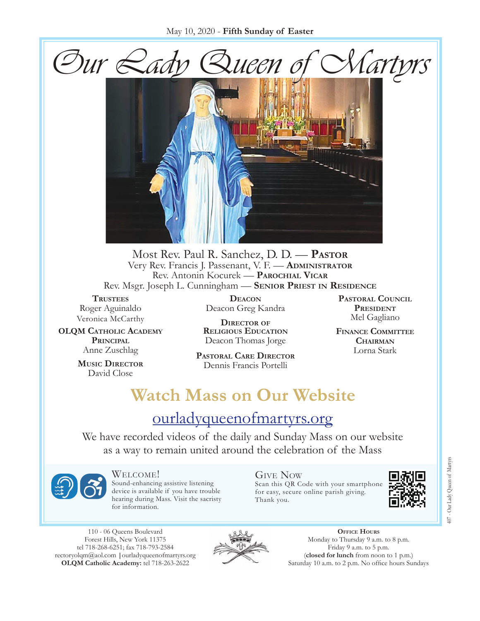

Most Rev. Paul R. Sanchez, D. D. — **Pastor** Very Rev. Francis J. Passenant, V. F. — **Administrator** Rev. Antonin Kocurek — **Parochial Vicar** Rev. Msgr. Joseph L. Cunningham — **Senior Priest in Residence**

**Trustees** Roger Aguinaldo Veronica McCarthy

**OLQM Catholic Academy Principal** Anne Zuschlag

> **Music Director** David Close

**Deacon** Deacon Greg Kandra

**Director of Religious Education** Deacon Thomas Jorge

**Pastoral Care Director** Dennis Francis Portelli

**Pastoral Council** PRESIDENT Mel Gagliano

**Finance Committee Chairman** Lorna Stark

# **Watch Mass on Our Website**

## [ourladyqueenofmartyrs.org](https://ourladyqueenofmartyrs.org/)

We have recorded videos of the daily and Sunday Mass on our website as a way to remain united around the celebration of the Mass



Welcome! Sound-enhancing assistive listening device is available if you have trouble hearing during Mass. Visit the sacristy for information.

Give Now Scan this QR Code with your smartphone for easy, secure online parish giving. Thank you.



110 - 06 Queens Boulevard Forest Hills, New York 11375 tel 718-268-6251; fax 718-793-2584 [rectoryolqm@aol.com](mailto:rectoryolqm@aol.com) **|**[ourladyqueenofmartyrs.org](www.ourladyqueenofmartyrs.org) **OLQM Catholic Academy:** tel 718-263-2622



**Office Hours** Monday to Thursday 9 a.m. to 8 p.m. Friday 9 a.m. to 5 p.m. (**closed for lunch** from noon to 1 p.m.) Saturday 10 a.m. to 2 p.m. No office hours Sundays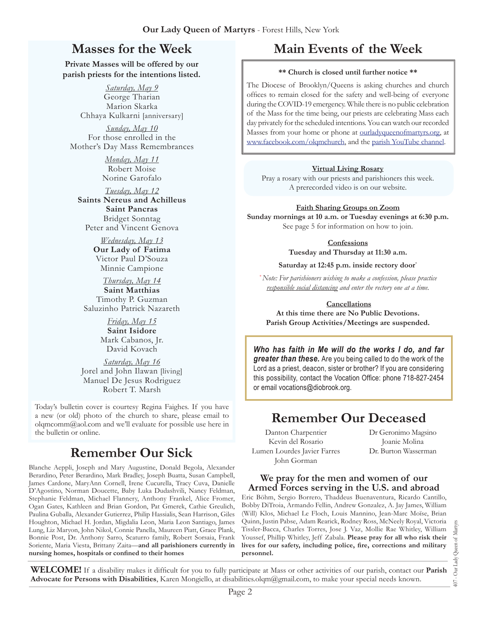## **Masses for the Week**

**Private Masses will be offered by our parish priests for the intentions listed.**

> *Saturday, May 9* George Tharian Marion Skarka Chhaya Kulkarni [anniversary]

*Sunday, May 10* For those enrolled in the Mother's Day Mass Remembrances

> *Monday, May 11* Robert Moise Norine Garofalo

*Tuesday, May 12* **Saints Nereus and Achilleus Saint Pancras** Bridget Sonntag Peter and Vincent Genova

> *Wednesday, May 13* **Our Lady of Fatima** Victor Paul D'Souza Minnie Campione

*Thursday, May 14* **Saint Matthias** Timothy P. Guzman Saluzinho Patrick Nazareth

> *Friday, May 15* **Saint Isidore** Mark Cabanos, Jr. David Kovach

*Saturday, May 16* Jorel and John Ilawan [living] Manuel De Jesus Rodriguez Robert T. Marsh

Today's bulletin cover is courtesy Regina Faighes. If you have a new (or old) photo of the church to share, please email to olgmcomm $@a$ ol.com and we'll evaluate for possible use here in the bulletin or online.

## **Remember Our Sick**

Blanche Aeppli, Joseph and Mary Augustine, Donald Begola, Alexander Berardino, Peter Berardino, Mark Bradley, Joseph Buatta, Susan Campbell, James Cardone, MaryAnn Cornell, Irene Cucurella, Tracy Cuva, Danielle D'Agostino, Norman Doucette, Baby Luka Dudashvili, Nancy Feldman, Stephanie Feldman, Michael Flannery, Anthony Frankel, Alice Fromer, Ogan Gates, Kathleen and Brian Gordon, Pat Gmerek, Cathie Greulich, Paulina Guballa, Alexander Gutierrez, Philip Hassialis, Sean Harrison, Giles Houghton, Michael H. Jordan, Migdalia Leon, Maria Leon Santiago, James Lung, Liz Maryon, John Nikol, Connie Panella, Maureen Piatt, Grace Plank, Bonnie Post, Dr. Anthony Sarro, Scaturro family, Robert Sorsaia, Frank Soriente, Maria Viesta, Brittany Zaita—**and all parishioners currently in nursing homes, hospitals or confined to their homes**

# **Main Events of the Week**

#### **\*\* Church is closed until further notice \*\***

The Diocese of Brooklyn/Queens is asking churches and church offices to remain closed for the safety and well-being of everyone during the COVID-19 emergency. While there is no public celebration of the Mass for the time being, our priests are celebrating Mass each day privately for the scheduled intentions. You can watch our recorded Masses from your home or phone at [ourladyqueenofmartyrs.org](https://ourladyqueenofmartyrs.org/), at [www.facebook.com/olqmchurch,](https://www.facebook.com/OLQMChurch/) and the [parish YouTube channel.](https://www.youtube.com/user/OLQMStewardship/videos?view=0&sort=dd&shelf_id=2)

#### **Virtual Living Rosary**

Pray a rosary with our priests and parishioners this week. A prerecorded video is on our website.

#### **Faith Sharing Groups on Zoom**

**Sunday mornings at 10 a.m. or Tuesday evenings at 6:30 p.m.** See page 5 for information on how to join.

**Confessions**

**Tuesday and Thursday at 11:30 a.m.**

#### **Saturday at 12:45 p.m. inside rectory door**\*

*\*Note: For parishioners wishing to make a confession, please practice responsible social distancing and enter the rectory one at a time.*

#### **Cancellations**

**At this time there are No Public Devotions. Parish Group Activities/Meetings are suspended.**

*Who has faith in Me will do the works I do, and far greater than these.* Are you being called to do the work of the Lord as a priest, deacon, sister or brother? If you are considering this possibility, contact the Vocation Office: phone 718-827-2454 or email [vocations@diobrook.org.](mailto:vocations@diobrook.org)

### **Remember Our Deceased**

Danton Charpentier Kevin del Rosario Lumen Lourdes Javier Farres John Gorman

Dr Geronimo Magsino Joanie Molina Dr. Burton Wasserman

#### **We pray for the men and women of our Armed Forces serving in the U.S. and abroad**

Eric Böhm, Sergio Borrero, Thaddeus Buenaventura, Ricardo Cantillo, Bobby DiTroia, Armando Fellin, Andrew Gonzalez, A. Jay James, William (Will) Klos, Michael Le Floch, Louis Mannino, Jean-Marc Moïse, Brian Quinn, Justin Pabse, Adam Rearick, Rodney Ross, McNeely Royal, Victoria Tissler-Bacca, Charles Torres, Jose J. Vaz, Mollie Rae Whitley, William Youssef, Phillip Whitley, Jeff Zabala. **Please pray for all who risk their lives for our safety, including police, fire, corrections and military personnel.**

**WELCOME!** If a disability makes it difficult for you to fully participate at Mass or other activities of our parish, contact our **Parish Advocate for Persons with Disabilities**, Karen Mongiello, at [disabilities.olqm@gmail.com,](mailto:disabilities.olqm@gmail.com) to make your special needs known.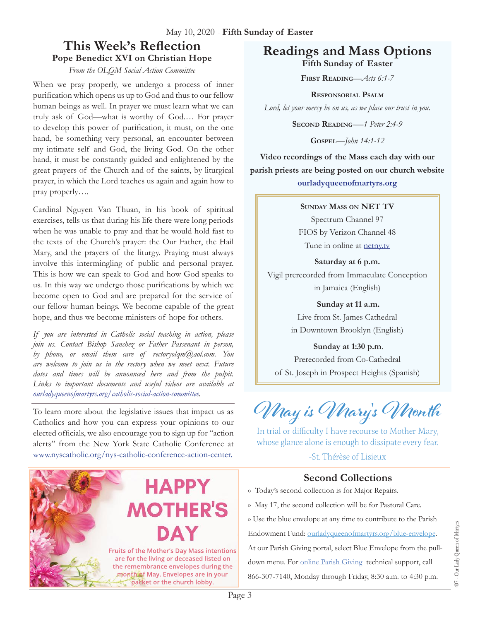### **This Week's Reflection Pope Benedict XVI on Christian Hope**

*From the OLQM Social Action Committee*

When we pray properly, we undergo a process of inner purification which opens us up to God and thus to our fellow human beings as well. In prayer we must learn what we can truly ask of God—what is worthy of God.… For prayer to develop this power of purification, it must, on the one hand, be something very personal, an encounter between my intimate self and God, the living God. On the other hand, it must be constantly guided and enlightened by the great prayers of the Church and of the saints, by liturgical prayer, in which the Lord teaches us again and again how to pray properly….

Cardinal Nguyen Van Thuan, in his book of spiritual exercises, tells us that during his life there were long periods when he was unable to pray and that he would hold fast to the texts of the Church's prayer: the Our Father, the Hail Mary, and the prayers of the liturgy. Praying must always involve this intermingling of public and personal prayer. This is how we can speak to God and how God speaks to us. In this way we undergo those purifications by which we become open to God and are prepared for the service of our fellow human beings. We become capable of the great hope, and thus we become ministers of hope for others.

*If you are interested in Catholic social teaching in action, please join us. Contact Bishop Sanchez or Father Passenant in person, by phone, or email them care of rectoryolqm@aol.com. You are welcome to join us in the rectory when we meet next. Future dates and times will be announced here and from the pulpit. Links to important documents and useful videos are available at [ourladyqueenofmartyrs.org/catholic-social-action-committee.](http://ourladyqueenofmartyrs.org/catholic-social-action-committee)*

To learn more about the legislative issues that impact us as Catholics and how you can express your opinions to our elected officials, we also encourage you to sign up for "action alerts" from the New York State Catholic Conference at [www.nyscatholic.org/nys-catholic-conference-action-center](https://www.nyscatholic.org/nys-catholic-conference-action-center).

**HAPPY** 

**MOTHER'S** 

**Fruits of the Mother's Day Mass intentions** are for the living or deceased listed on the remembrance envelopes during the month of May. Envelopes are in your packet or the church lobby.

#### **Readings and Mass Options Fifth Sunday of Easter**

**First Reading***—Acts 6:1-7*

**Responsorial Psalm** *Lord, let your mercy be on us, as we place our trust in you.*

**Second Reading***-—1 Peter 2:4-9*

**Gospel***—John 14:1-12*

**Video recordings of the Mass each day with our parish priests are being posted on our church website [ourladyqueenofmartyrs.org](https://ourladyqueenofmartyrs.org)**

#### **Sunday Mass on NET TV**

Spectrum Channel 97 FIOS by Verizon Channel 48 Tune in online at **[netny.tv](https://netny.tv/)** 

**Saturday at 6 p.m.**  Vigil prerecorded from Immaculate Conception in Jamaica (English)

> **Sunday at 11 a.m.**  Live from St. James Cathedral in Downtown Brooklyn (English)

**Sunday at 1:30 p.m**. Prerecorded from Co-Cathedral of St. Joseph in Prospect Heights (Spanish)

**May is Mary's Month**

In trial or difficulty I have recourse to Mother Mary, whose glance alone is enough to dissipate every fear.

-St. Thérèse of Lisieux

#### **Second Collections**

- ›› Today's second collection is for Major Repairs.
- ›› May 17, the second collection will be for Pastoral Care.

›› Use the blue envelope at any time to contribute to the Parish

Endowment Fund: [ourladyqueenofmartyrs.org/blue-envelope.](https://ourladyqueenofmartyrs.org/blue-envelope/) At our Parish Giving portal, select Blue Envelope from the pulldown menu. For [online Parish Giving](https://ourladyqueenofmartyrs.org/parish-giving/) technical support, call 866-307-7140, Monday through Friday, 8:30 a.m. to 4:30 p.m.

Page 3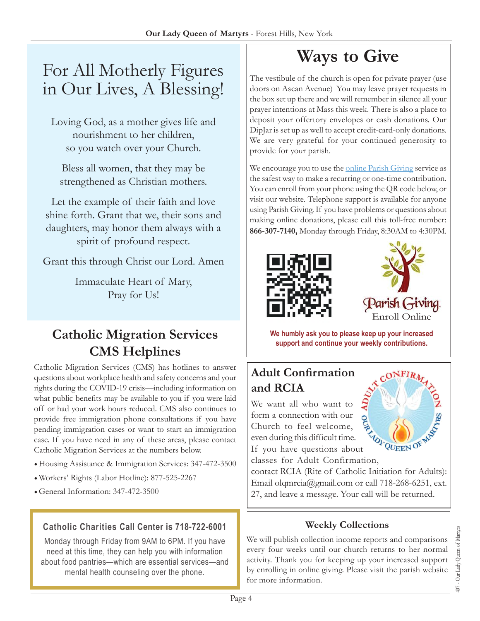# For All Motherly Figures in Our Lives, A Blessing!

Loving God, as a mother gives life and nourishment to her children, so you watch over your Church.

Bless all women, that they may be strengthened as Christian mothers.

Let the example of their faith and love shine forth. Grant that we, their sons and daughters, may honor them always with a spirit of profound respect.

Grant this through Christ our Lord. Amen

Immaculate Heart of Mary, Pray for Us!

# **Catholic Migration Services CMS Helplines**

Catholic Migration Services (CMS) has hotlines to answer questions about workplace health and safety concerns and your rights during the COVID-19 crisis—including information on what public benefits may be available to you if you were laid off or had your work hours reduced. CMS also continues to provide free immigration phone consultations if you have pending immigration cases or want to start an immigration case. If you have need in any of these areas, please contact Catholic Migration Services at the numbers below.

- Housing Assistance & Immigration Services: 347-472-3500
- Workers' Rights (Labor Hotline): 877-525-2267
- General Information: 347-472-3500

#### **Catholic Charities Call Center is 718-722-6001**

Monday through Friday from 9AM to 6PM. If you have need at this time, they can help you with information about food pantries—which are essential services—and mental health counseling over the phone.

# **Ways to Give**

The vestibule of the church is open for private prayer (use doors on Ascan Avenue) You may leave prayer requests in the box set up there and we will remember in silence all your prayer intentions at Mass this week. There is also a place to deposit your offertory envelopes or cash donations. Our DipJar is set up as well to accept credit-card-only donations. We are very grateful for your continued generosity to provide for your parish.

We encourage you to use the [online Parish Giving](https://ourladyqueenofmartyrs.org/parish-giving/) service as the safest way to make a recurring or one-time contribution. You can enroll from your phone using the QR code below, or visit our website. Telephone support is available for anyone using Parish Giving. If you have problems or questions about making online donations, please call this toll-free number: **866-307-7140,** Monday through Friday, 8:30AM to 4:30PM.





**We humbly ask you to please keep up your increased support and continue your weekly contributions.**

## **Adult Confirmation and RCIA**

We want all who want to form a connection with our Church to feel welcome, even during this difficult time. If you have questions about even during this difficult time.<br>If you have questions about<br>classes for Adult Confirmation,



contact RCIA (Rite of Catholic Initiation for Adults): Email [olqmrcia@gmail.com](mailto:olqmrcia@gmail.com) or call 718-268-6251, ext. 27, and leave a message. Your call will be returned.

#### **Weekly Collections**

We will publish collection income reports and comparisons every four weeks until our church returns to her normal activity. Thank you for keeping up your increased support by enrolling in online giving. Please visit the parish website for more information.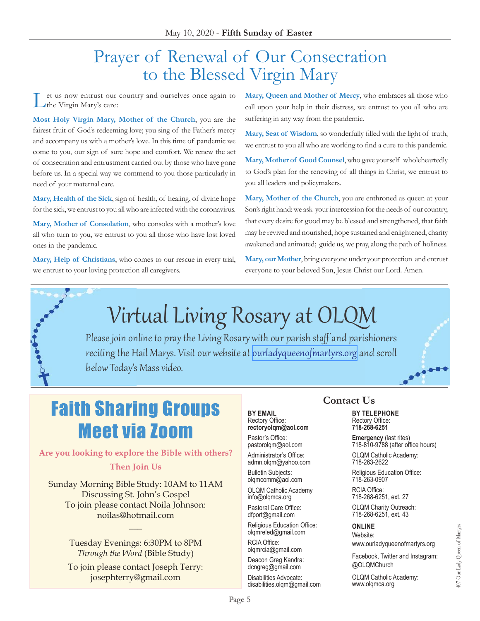# Prayer of Renewal of Our Consecration to the Blessed Virgin Mary

et us now entrust our country and ourselves once again to the Virgin Mary's care:

**Most Holy Virgin Mary, Mother of the Church**, you are the fairest fruit of God's redeeming love; you sing of the Father's mercy and accompany us with a mother's love. In this time of pandemic we come to you, our sign of sure hope and comfort. We renew the act of consecration and entrustment carried out by those who have gone before us. In a special way we commend to you those particularly in need of your maternal care.

**Mary, Health of the Sick**, sign of health, of healing, of divine hope for the sick, we entrust to you all who are infected with the coronavirus.

**Mary, Mother of Consolation**, who consoles with a mother's love all who turn to you, we entrust to you all those who have lost loved ones in the pandemic.

**Mary, Help of Christians**, who comes to our rescue in every trial, we entrust to your loving protection all caregivers.

**Mary, Queen and Mother of Mercy**, who embraces all those who call upon your help in their distress, we entrust to you all who are suffering in any way from the pandemic.

**Mary, Seat of Wisdom**, so wonderfully filled with the light of truth, we entrust to you all who are working to find a cure to this pandemic.

**Mary, Mother of Good Counsel**,who gave yourself wholeheartedly to God's plan for the renewing of all things in Christ, we entrust to you all leaders and policymakers.

**Mary, Mother of the Church**, you are enthroned as queen at your Son's right hand: we ask your intercession for the needs of our country, that every desire for good may be blessed and strengthened, that faith may be revived and nourished, hope sustained and enlightened, charity awakened and animated; guide us, we pray, along the path of holiness.

**Mary, our Mother**, bring everyone under your protection and entrust everyone to your beloved Son, Jesus Christ our Lord. Amen.



# Virtual Living Rosary at OLQM

Please join online to pray the Living Rosary with our parish staff and parishioners reciting the Hail Marys. Visit our website at <u>[ourladyqueenofmartyrs.org](https://ourladyqueenofmartyrs.org/)</u> and scroll below Today's Mass video.

# $e^{\pm i \theta}$

# **Faith Sharing Groups Meet via Zoom**

#### Are you looking to explore the Bible with others? **Then Join Us**

Sunday Morning Bible Study: 10AM to 11AM Discussing St. John's Gospel To join please contact Noila Johnson: noilas@hotmail.com

> Tuesday Evenings: 6:30PM to 8PM *Through the Word* (Bible Study)

 $\overline{\phantom{a}}$ 

To join please contact Joseph Terry: josephterry@gmail.com

#### **BY EMAIL** Rectory Office: **rectoryolqm@aol.com**

Pastor's Office: pastorolqm@aol.com

Administrator's Office: admn.olqm@yahoo.com

Bulletin Subjects: olqmcomm@aol.com

OLQM Catholic Academy info@olqmca.org

Pastoral Care Office: dfport@gmail.com

Religious Education Office: olqmreled@gmail.com

RCIA Office: [olqmrcia@gmail.com](mailto:olqmrcia@gmail.com)

Deacon Greg Kandra: dcngreg@gmail.com

Disabilities Advocate: [disabilities.olqm@gmail.com](mailto:disabilities.olqm@gmail.com)

## **Contact Us BY TELEPHONE**<br>Rectory Office:

Rectory Office: **718-268-6251**

**Emergency** (last rites) 718-810-9788 (after office hours)

OLQM Catholic Academy: 718-263-2622

Religious Education Office: 718-263-0907

RCIA Office: 718-268-6251, ext. 27

OLQM Charity Outreach: 718-268-6251, ext. 43

#### **ONLINE**

Website: www.ourladyqueenofmartyrs.org

Facebook, Twitter and Instagram: @OLQMChurch

OLQM Catholic Academy: <www.olqmca.org>